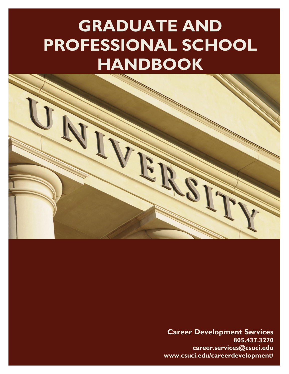# **GRADUATE AND PROFESSIONAL SCHOOL HANDBOOK**



**Career Development Services 805.437.3270 career.services@csuci.edu www.csuci.edu/careerdevelopment/**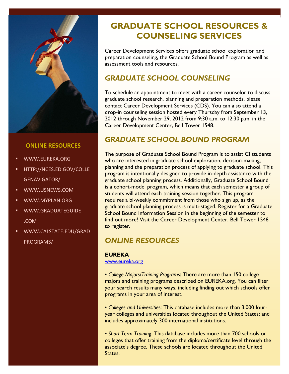

### **ONLINE RESOURCES**

- WWW.EUREKA.ORG
- HTTP://NCES.ED.GOV/COLLE GENAVIGATOR/
- WWW.USNEWS.COM
- WWW.MYPLAN.ORG
- WWW.GRADUATEGUIDE .COM
- WWW.CALSTATE.EDU/GRAD PROGRAMS/

# **GRADUATE SCHOOL RESOURCES & COUNSELING SERVICES**

Career Development Services offers graduate school exploration and preparation counseling, the Graduate School Bound Program as well as assessment tools and resources.

# *GRADUATE SCHOOL COUNSELING*

To schedule an appointment to meet with a career counselor to discuss graduate school research, planning and preparation methods, please contact Career Development Services (CDS). You can also attend a drop-in counseling session hosted every Thursday from September 13, 2012 through November 29, 2012 from 9:30 a.m. to 12:30 p.m. in the Career Development Center, Bell Tower 1548.

# *GRADUATE SCHOOL BOUND PROGRAM*

The purpose of Graduate School Bound Program is to assist CI students who are interested in graduate school exploration, decision-making, planning and the preparation process of applying to graduate school. This program is intentionally designed to provide in-depth assistance with the graduate school planning process. Additionally, Graduate School Bound is a cohort-model program, which means that each semester a group of students will attend each training session together. This program requires a bi-weekly commitment from those who sign up, as the graduate school planning process is multi-staged. Register for a Graduate School Bound Information Session in the beginning of the semester to find out more! Visit the Career Development Center, Bell Tower 1548 to register.

# *ONLINE RESOURCES*

### **EUREKA**

[www.eureka.org](http://www.eureka.org/)

• *College Majors/Training Programs*: There are more than 150 college majors and training programs described on EUREKA.org. You can filter your search results many ways, including finding out which schools offer programs in your area of interest.

• *Colleges and Universities*: This database includes more than 3,000 fouryear colleges and universities located throughout the United States; and includes approximately 300 international institutions.

• *Short Term Training*: This database includes more than 700 schools or colleges that offer training from the diploma/certificate level through the associate's degree. These schools are located throughout the United States.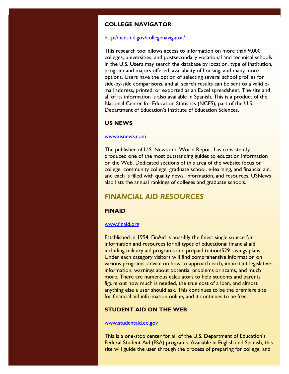### **COLLEGE NAVIGATOR**

#### <http://nces.ed.gov/collegenavigator/>

This research tool allows access to information on more than 9,000 colleges, universities, and postsecondary vocational and technical schools in the U.S. Users may search the database by location, type of institution, program and majors offered, availability of housing, and many more options. Users have the option of selecting several school profiles for side-by-side comparisons, and all search results can be sent to a valid email address, printed, or exported as an Excel spreadsheet. The site and all of its information is also available in Spanish. This is a product of the National Center for Education Statistics (NCES), part of the U.S. Department of Education's Institute of Education Sciences.

### **US NEWS**

#### [www.usnews.com](http://www.usnews.com/)

The publisher of U.S. News and World Report has consistently produced one of the most outstanding guides to education information on the Web. Dedicated sections of this area of the website focus on college, community college, graduate school, e-learning, and financial aid, and each is filled with quality news, information, and resources. USNews also lists the annual rankings of colleges and graduate schools.

## *FINANCIAL AID RESOURCES*

### **FINAID**

### [www.finaid.org](http://www.finaid.org/)

Established in 1994, FinAid is possibly the finest single source for information and resources for all types of educational financial aid including military aid programs and prepaid tuition/529 savings plans. Under each category visitors will find comprehensive information on various programs, advice on how to approach each, important legislative information, warnings about potential problems or scams, and much more. There are numerous calculators to help students and parents figure out how much is needed, the true cost of a loan, and almost anything else a user should ask. This continues to be the premiere site for financial aid information online, and it continues to be free.

### **STUDENT AID ON THE WEB**

[www.studentaid.ed.gov](http://www.studentaid.ed.gov/)

This is a one-stop center for all of the U.S. Department of Education's Federal Student Aid (FSA) programs. Available in English and Spanish, this site will guide the user through the process of preparing for college, and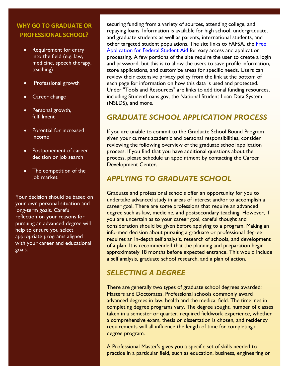# **WHY GO TO GRADUATE OR PROFESSIONAL SCHOOL?**

- Requirement for entry into the field (e.g. law, medicine, speech therapy, teaching)
- Professional growth
- Career change
- Personal growth, fulfillment
- Potential for increased income
- Postponement of career decision or job search
- The competition of the job market

Your decision should be based on your own personal situation and long-term goals. Careful reflection on your reasons for pursuing an advanced degree will help to ensure you select appropriate programs aligned with your career and educational goals.

securing funding from a variety of sources, attending college, and repaying loans. Information is available for high school, undergraduate, and graduate students as well as parents, international students, and other targeted student populations. The site links to FAFSA, the Free [Application for Federal Student Aid](http://www.fafsa.ed.gov/) for easy access and application processing. A few portions of the site require the user to create a login and password, but this is to allow the users to save profile information, store applications, and customize areas for specific needs. Users can review their extensive privacy policy from the link at the bottom of each page for information on how this data is used and protected. Under "Tools and Resources" are links to additional funding resources, including StudentLoans.gov, the National Student Loan Data System (NSLDS), and more.

# *GRADUATE SCHOOL APPLICATION PROCESS*

If you are unable to commit to the Graduate School Bound Program given your current academic and personal responsibilities, consider reviewing the following overview of the graduate school application process. If you find that you have additional questions about the process, please schedule an appointment by contacting the Career Development Center.

# *APPLYING TO GRADUATE SCHOOL*

Graduate and professional schools offer an opportunity for you to undertake advanced study in areas of interest and/or to accomplish a career goal. There are some professions that require an advanced degree such as law, medicine, and postsecondary teaching. However, if you are uncertain as to your career goal, careful thought and consideration should be given before applying to a program. Making an informed decision about pursuing a graduate or professional degree requires an in-depth self analysis, research of schools, and development of a plan. It is recommended that the planning and preparation begin approximately 18 months before expected entrance. This would include a self analysis, graduate school research, and a plan of action.

# *SELECTING A DEGREE*

There are generally two types of graduate school degrees awarded: Masters and Doctorates. Professional schools commonly award advanced degrees in law, health and the medical field. The timelines in completing degree programs vary. The degree sought, number of classes taken in a semester or quarter, required fieldwork experience, whether a comprehensive exam, thesis or dissertation is chosen, and residency requirements will all influence the length of time for completing a degree program.

A Professional Master's gives you a specific set of skills needed to practice in a particular field, such as education, business, engineering or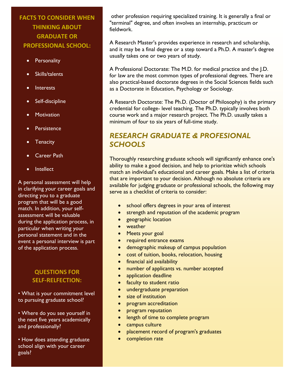# **FACTS TO CONSIDER WHEN THINKING ABOUT GRADUATE OR PROFESSIONAL SCHOOL:**

- **Personality**
- Skills/talents
- Interests
- Self-discipline
- Motivation
- **Persistence**
- Tenacity
- Career Path
- Intellect

A personal assessment will help in clarifying your career goals and directing you to a graduate program that will be a good match. In addition, your selfassessment will be valuable during the application process, in particular when writing your personal statement and in the event a personal interview is part of the application process.

### **QUESTIONS FOR SELF-RELFECTION:**

• What is your commitment level to pursuing graduate school?

• Where do you see yourself in the next five years academically and professionally?

• How does attending graduate school align with your career goals?

other profession requiring specialized training. It is generally a final or "terminal" degree, and often involves an internship, practicum or fieldwork.

A Research Master's provides experience in research and scholarship, and it may be a final degree or a step toward a Ph.D. A master's degree usually takes one or two years of study.

A Professional Doctorate: The M.D. for medical practice and the J.D. for law are the most common types of professional degrees. There are also practical-based doctorate degrees in the Social Sciences fields such as a Doctorate in Education, Psychology or Sociology.

A Research Doctorate: The Ph.D. (Doctor of Philosophy) is the primary credential for college- level teaching. The Ph.D. typically involves both course work and a major research project. The Ph.D. usually takes a minimum of four to six years of full-time study.

# *RESEARCH GRADUATE & PROFESIONAL SCHOOLS*

Thoroughly researching graduate schools will significantly enhance one's ability to make a good decision, and help to prioritize which schools match an individual's educational and career goals. Make a list of criteria that are important to your decision. Although no absolute criteria are available for judging graduate or professional schools, the following may serve as a checklist of criteria to consider:

- school offers degrees in your area of interest
- strength and reputation of the academic program
- geographic location
- weather
- Meets your goal
- required entrance exams
- demographic makeup of campus population
- cost of tuition, books, relocation, housing
- **•** financial aid availability
- number of applicants vs. number accepted
- application deadline
- faculty to student ratio
- undergraduate preparation
- size of institution
- **•** program accreditation
- **program reputation**
- length of time to complete program
- campus culture
- placement record of program's graduates
- completion rate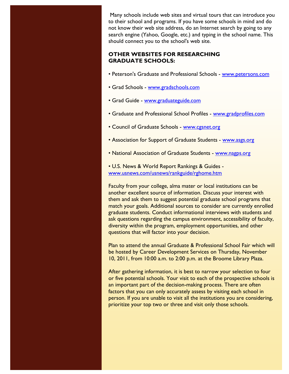Many schools include web sites and virtual tours that can introduce you to their school and programs. If you have some schools in mind and do not know their web site address, do an Internet search by going to any search engine (Yahoo, Google, etc.) and typing in the school name. This should connect you to the school's web site.

### **OTHER WEBSITES FOR RESEARCHING GRADUATE SCHOOLS:**

- Peterson's Graduate and Professional Schools [www.petersons.com](http://www.petersons.com/)
- Grad Schools [www.gradschools.com](http://www.gradschools.com/)
- Grad Guide [www.graduateguide.com](http://www.graduateguide.com/)
- Graduate and Professional School Profiles [www.gradprofiles.com](http://www.gradprofiles.com/)
- Council of Graduate Schools [www.cgsnet.org](http://www.cgsnet.org/)
- Association for Support of Graduate Students [www.asgs.org](http://www.asgs.org/)
- National Association of Graduate Students [www.nagps.org](http://www.nagps.org/)
- U.S. News & World Report Rankings & Guides [www.usnews.com/usnews/rankguide/rghome.htm](http://www.usnews.com/usnews/rankguide/rghome.htm)

Faculty from your college, alma mater or local institutions can be another excellent source of information. Discuss your interest with them and ask them to suggest potential graduate school programs that match your goals. Additional sources to consider are currently enrolled graduate students. Conduct informational interviews with students and ask questions regarding the campus environment, accessibility of faculty, diversity within the program, employment opportunities, and other questions that will factor into your decision.

Plan to attend the annual Graduate & Professional School Fair which will be hosted by Career Development Services on Thursday, November 10, 2011, from 10:00 a.m. to 2:00 p.m. at the Broome Library Plaza.

After gathering information, it is best to narrow your selection to four or five potential schools. Your visit to each of the prospective schools is an important part of the decision-making process. There are often factors that you can only accurately assess by visiting each school in person. If you are unable to visit all the institutions you are considering, prioritize your top two or three and visit only those schools.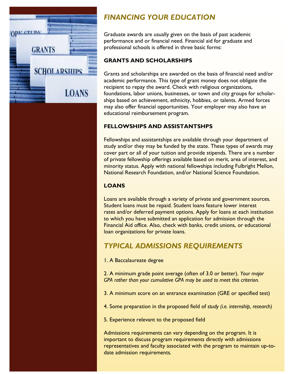

# *FINANCING YOUR EDUCATION*

Graduate awards are usually given on the basis of past academic performance and or financial need. Financial aid for graduate and professional schools is offered in three basic forms:

### **GRANTS AND SCHOLARSHIPS**

Grants and scholarships are awarded on the basis of financial need and/or academic performance. This type of grant money does not obligate the recipient to repay the award. Check with religious organizations, foundations, labor unions, businesses, or town and city groups for scholarships based on achievement, ethnicity, hobbies, or talents. Armed forces may also offer financial opportunities. Your employer may also have an educational reimbursement program.

### **FELLOWSHIPS AND ASSISTANTSHPS**

Fellowships and assistantships are available through your department of study and/or they may be funded by the state. These types of awards may cover part or all of your tuition and provide stipends. There are a number of private fellowship offerings available based on merit, area of interest, and minority status. Apply with national fellowships including Fulbright Mellon, National Research Foundation, and/or National Science Foundation.

### **LOANS**

Loans are available through a variety of private and government sources. Student loans must be repaid. Student loans feature lower interest rates and/or deferred payment options. Apply for loans at each institution to which you have submitted an application for admission through the Financial Aid office. Also, check with banks, credit unions, or educational loan organizations for private loans.

# *TYPICAL ADMISSIONS REQUIREMENTS*

1. A Baccalaureate degree

2. A minimum grade point average (often of 3.0 or better). *Your major GPA rather than your cumulative GPA may be used to meet this criterion.*

3. A minimum score on an entrance examination (GRE or specified test)

4. Some preparation in the proposed field of *study (i.e. internship, research)*

5. Experience relevant to the proposed field

Admissions requirements can vary depending on the program. It is important to discuss program requirements directly with admissions representatives and faculty associated with the program to maintain up-todate admission requirements.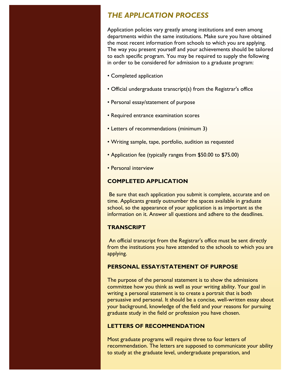# *THE APPLICATION PROCESS*

Application policies vary greatly among institutions and even among departments within the same institutions. Make sure you have obtained the most recent information from schools to which you are applying. The way you present yourself and your achievements should be tailored to each specific program. You may be required to supply the following in order to be considered for admission to a graduate program:

- Completed application
- Official undergraduate transcript(s) from the Registrar's office
- Personal essay/statement of purpose
- Required entrance examination scores
- Letters of recommendations (minimum 3)
- Writing sample, tape, portfolio, audition as requested
- Application fee (typically ranges from \$50.00 to \$75.00)
- Personal interview

### **COMPLETED APPLICATION**

Be sure that each application you submit is complete, accurate and on time. Applicants greatly outnumber the spaces available in graduate school, so the appearance of your application is as important as the information on it. Answer all questions and adhere to the deadlines.

### **TRANSCRIPT**

An official transcript from the Registrar's office must be sent directly from the institutions you have attended to the schools to which you are applying.

### **PERSONAL ESSAY/STATEMENT OF PURPOSE**

The purpose of the personal statement is to show the admissions committee how you think as well as your writing ability. Your goal in writing a personal statement is to create a portrait that is both persuasive and personal. It should be a concise, well-written essay about your background, knowledge of the field and your reasons for pursuing graduate study in the field or profession you have chosen.

### **LETTERS OF RECOMMENDATION**

Most graduate programs will require three to four letters of recommendation. The letters are supposed to communicate your ability to study at the graduate level, undergraduate preparation, and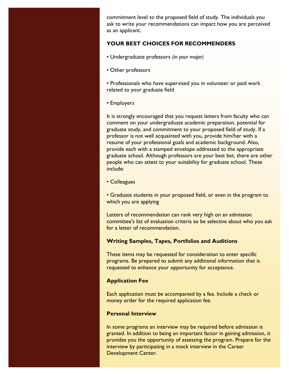commitment level to the proposed field of study. The individuals you ask to write your recommendations can impact how you are perceived as an applicant.

### **YOUR BEST CHOICES FOR RECOMMENDERS**

- Undergraduate professors *(in your major)*
- Other professors

• Professionals who have supervised you in volunteer or paid work related to your graduate field

• Employers

It is strongly encouraged that you request letters from faculty who can comment on your undergraduate academic preparation, potential for graduate study, and commitment to your proposed field of study. If a professor is not well acquainted with you, provide him/her with a resume of your professional goals and academic background. Also, provide each with a stamped envelope addressed to the appropriate graduate school. Although professors are your best bet, there are other people who can attest to your suitability for graduate school. These include:

• Colleagues

• Graduate students in your proposed field, or even in the program to which you are applying

Letters of recommendation can rank very high on an admission committee's list of evaluation criteria so be selective about who you ask for a letter of recommendation.

### **Writing Samples, Tapes, Portfolios and Auditions**

These items may be requested for consideration to enter specific programs. Be prepared to submit any additional information that is requested to enhance your opportunity for acceptance.

### **Application Fee**

Each application must be accompanied by a fee. Include a check or money order for the required application fee.

### **Personal Interview**

In some programs an interview may be required before admission is granted. In addition to being an important factor in gaining admission, it provides you the opportunity of assessing the program. Prepare for the interview by participating in a mock interview in the Career Development Center.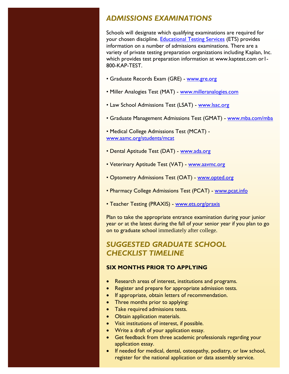# *ADMISSIONS EXAMINATIONS*

Schools will designate which qualifying examinations are required for your chosen discipline. [Educational Testing Services](http://www.ets.org/) (ETS) provides information on a number of admissions examinations. There are a variety of private testing preparation organizations including Kaplan, Inc. which provides test preparation information at www.kaptest.com or1- 800-KAP-TEST.

- Graduate Records Exam (GRE) [www.gre.org](http://www.gre.org/)
- Miller Analogies Test (MAT) [www.milleranalogies.com](http://www.milleranalogies.com/)
- Law School Admissions Test (LSAT) [www.lsac.org](http://www.lsac.org/)
- Graduate Management Admissions Test (GMAT) [www.mba.com/mba](http://www.mba.com/mba)

• Medical College Admissions Test (MCAT) [www.aamc.org/students/mcat](http://www.aamc.org/students/mcat)

- Dental Aptitude Test (DAT) [www.ada.org](http://www.ada.org/)
- Veterinary Aptitude Test (VAT) [www.aavmc.org](http://www.aavmc.org/)
- Optometry Admissions Test (OAT) [www.opted.org](http://www.opted.org/)
- Pharmacy College Admissions Test (PCAT) [www.pcat.info](http://www.pcat.info/)
- Teacher Testing (PRAXIS) [www.ets.org/praxis](http://www.ets.org/praxis)

Plan to take the appropriate entrance examination during your junior year or at the latest during the fall of your senior year if you plan to go on to graduate school immediately after college.

# *SUGGESTED GRADUATE SCHOOL CHECKLIST TIMELINE*

### **SIX MONTHS PRIOR TO APPLYING**

- Research areas of interest, institutions and programs.
- Register and prepare for appropriate admission tests.
- If appropriate, obtain letters of recommendation.
- Three months prior to applying:
- Take required admissions tests.
- Obtain application materials.
- Visit institutions of interest, if possible.
- Write a draft of your application essay.
- Get feedback from three academic professionals regarding your application essay.
- If needed for medical, dental, osteopathy, podiatry, or law school, register for the national application or data assembly service.